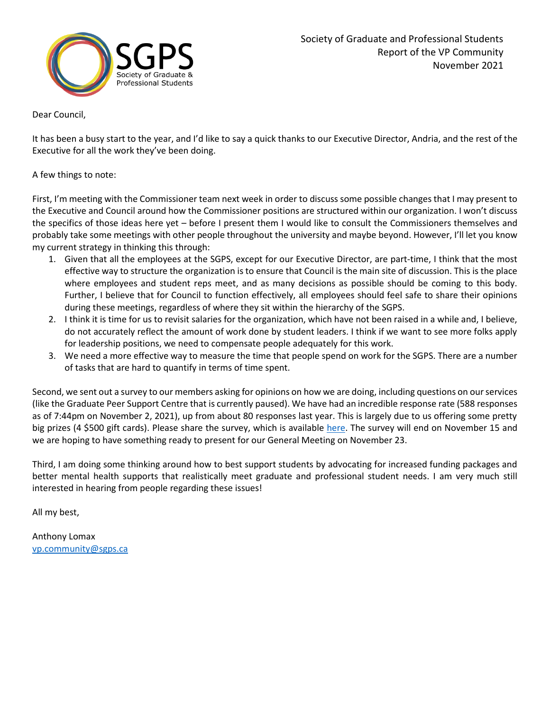

Dear Council,

It has been a busy start to the year, and I'd like to say a quick thanks to our Executive Director, Andria, and the rest of the Executive for all the work they've been doing.

## A few things to note:

First, I'm meeting with the Commissioner team next week in order to discuss some possible changes that I may present to the Executive and Council around how the Commissioner positions are structured within our organization. I won't discuss the specifics of those ideas here yet – before I present them I would like to consult the Commissioners themselves and probably take some meetings with other people throughout the university and maybe beyond. However, I'll let you know my current strategy in thinking this through:

- 1. Given that all the employees at the SGPS, except for our Executive Director, are part-time, I think that the most effective way to structure the organization is to ensure that Council is the main site of discussion. This is the place where employees and student reps meet, and as many decisions as possible should be coming to this body. Further, I believe that for Council to function effectively, all employees should feel safe to share their opinions during these meetings, regardless of where they sit within the hierarchy of the SGPS.
- 2. I think it is time for us to revisit salaries for the organization, which have not been raised in a while and, I believe, do not accurately reflect the amount of work done by student leaders. I think if we want to see more folks apply for leadership positions, we need to compensate people adequately for this work.
- 3. We need a more effective way to measure the time that people spend on work for the SGPS. There are a number of tasks that are hard to quantify in terms of time spent.

Second, we sent out a survey to our members asking for opinions on how we are doing, including questions on our services (like the Graduate Peer Support Centre that is currently paused). We have had an incredible response rate (588 responses as of 7:44pm on November 2, 2021), up from about 80 responses last year. This is largely due to us offering some pretty big prizes (4 \$500 gift cards). Please share the survey, which is available [here.](https://forms.office.com/Pages/ResponsePage.aspx?id=aPKMM2T7HUi15ZMx4X6StfxQgGa-WVBAs7RaWNKbxuBUNjE2NFE3UEFSR01UV1dTRDNKUllLUVNBWS4u) The survey will end on November 15 and we are hoping to have something ready to present for our General Meeting on November 23.

Third, I am doing some thinking around how to best support students by advocating for increased funding packages and better mental health supports that realistically meet graduate and professional student needs. I am very much still interested in hearing from people regarding these issues!

All my best,

Anthony Lomax [vp.community@sgps.ca](mailto:vp.community@sgps.ca)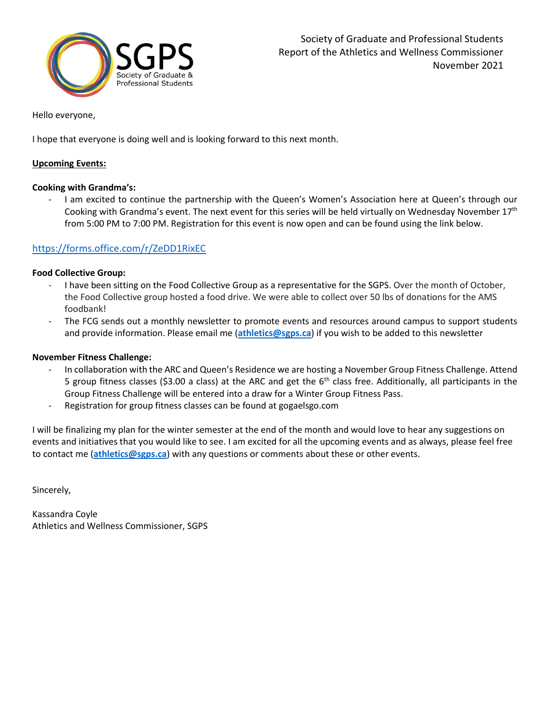

### Hello everyone,

I hope that everyone is doing well and is looking forward to this next month.

#### **Upcoming Events:**

### **Cooking with Grandma's:**

I am excited to continue the partnership with the Queen's Women's Association here at Queen's through our Cooking with Grandma's event. The next event for this series will be held virtually on Wednesday November 17<sup>th</sup> from 5:00 PM to 7:00 PM. Registration for this event is now open and can be found using the link below.

## <https://forms.office.com/r/ZeDD1RixEC>

#### **Food Collective Group:**

- I have been sitting on the Food Collective Group as a representative for the SGPS. Over the month of October, the Food Collective group hosted a food drive. We were able to collect over 50 lbs of donations for the AMS foodbank!
- The FCG sends out a monthly newsletter to promote events and resources around campus to support students and provide information. Please email me (**[athletics@sgps.ca](mailto:athletics@sgps.ca)**) if you wish to be added to this newsletter

#### **November Fitness Challenge:**

- In collaboration with the ARC and Queen's Residence we are hosting a November Group Fitness Challenge. Attend 5 group fitness classes (\$3.00 a class) at the ARC and get the  $6<sup>th</sup>$  class free. Additionally, all participants in the Group Fitness Challenge will be entered into a draw for a Winter Group Fitness Pass.
- Registration for group fitness classes can be found at gogaelsgo.com

I will be finalizing my plan for the winter semester at the end of the month and would love to hear any suggestions on events and initiatives that you would like to see. I am excited for all the upcoming events and as always, please feel free to contact me (**[athletics@sgps.ca](mailto:athletics@sgps.ca)**) with any questions or comments about these or other events.

Sincerely,

Kassandra Coyle Athletics and Wellness Commissioner, SGPS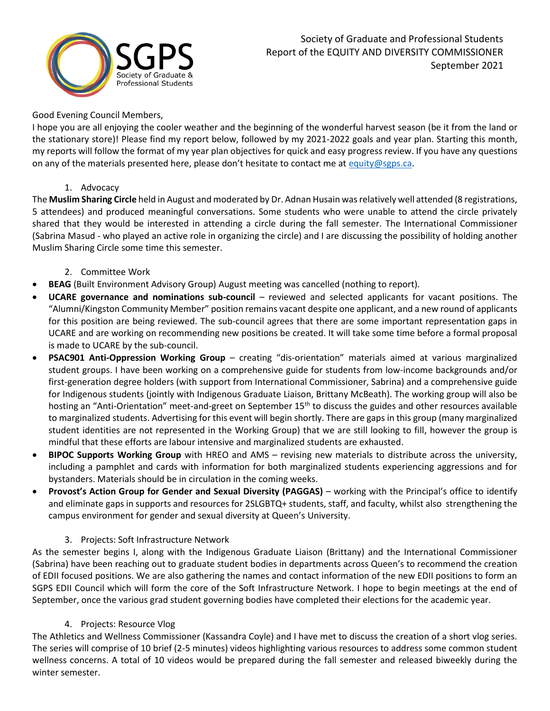

## Good Evening Council Members,

I hope you are all enjoying the cooler weather and the beginning of the wonderful harvest season (be it from the land or the stationary store)! Please find my report below, followed by my 2021-2022 goals and year plan. Starting this month, my reports will follow the format of my year plan objectives for quick and easy progress review. If you have any questions on any of the materials presented here, please don't hesitate to contact me at [equity@sgps.ca.](mailto:equity@sgps.ca)

# 1. Advocacy

The **Muslim Sharing Circle** held in August and moderated by Dr. Adnan Husain was relatively well attended (8 registrations, 5 attendees) and produced meaningful conversations. Some students who were unable to attend the circle privately shared that they would be interested in attending a circle during the fall semester. The International Commissioner (Sabrina Masud - who played an active role in organizing the circle) and I are discussing the possibility of holding another Muslim Sharing Circle some time this semester.

- 2. Committee Work
- **BEAG** (Built Environment Advisory Group) August meeting was cancelled (nothing to report).
- **UCARE governance and nominations sub-council** reviewed and selected applicants for vacant positions. The "Alumni/Kingston Community Member" position remains vacant despite one applicant, and a new round of applicants for this position are being reviewed. The sub-council agrees that there are some important representation gaps in UCARE and are working on recommending new positions be created. It will take some time before a formal proposal is made to UCARE by the sub-council.
- **PSAC901 Anti-Oppression Working Group** creating "dis-orientation" materials aimed at various marginalized student groups. I have been working on a comprehensive guide for students from low-income backgrounds and/or first-generation degree holders (with support from International Commissioner, Sabrina) and a comprehensive guide for Indigenous students (jointly with Indigenous Graduate Liaison, Brittany McBeath). The working group will also be hosting an "Anti-Orientation" meet-and-greet on September 15<sup>th</sup> to discuss the guides and other resources available to marginalized students. Advertising for this event will begin shortly. There are gaps in this group (many marginalized student identities are not represented in the Working Group) that we are still looking to fill, however the group is mindful that these efforts are labour intensive and marginalized students are exhausted.
- **BIPOC Supports Working Group** with HREO and AMS revising new materials to distribute across the university, including a pamphlet and cards with information for both marginalized students experiencing aggressions and for bystanders. Materials should be in circulation in the coming weeks.
- **Provost's Action Group for Gender and Sexual Diversity (PAGGAS)** working with the Principal's office to identify and eliminate gaps in supports and resources for 2SLGBTQ+ students, staff, and faculty, whilst also strengthening the campus environment for gender and sexual diversity at Queen's University.

# 3. Projects: Soft Infrastructure Network

As the semester begins I, along with the Indigenous Graduate Liaison (Brittany) and the International Commissioner (Sabrina) have been reaching out to graduate student bodies in departments across Queen's to recommend the creation of EDII focused positions. We are also gathering the names and contact information of the new EDII positions to form an SGPS EDII Council which will form the core of the Soft Infrastructure Network. I hope to begin meetings at the end of September, once the various grad student governing bodies have completed their elections for the academic year.

### 4. Projects: Resource Vlog

The Athletics and Wellness Commissioner (Kassandra Coyle) and I have met to discuss the creation of a short vlog series. The series will comprise of 10 brief (2-5 minutes) videos highlighting various resources to address some common student wellness concerns. A total of 10 videos would be prepared during the fall semester and released biweekly during the winter semester.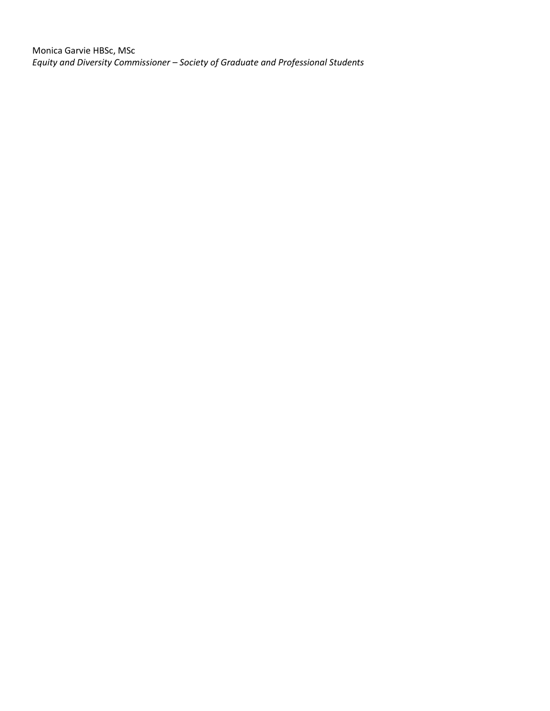Monica Garvie HBSc, MSc *Equity and Diversity Commissioner – Society of Graduate and Professional Students*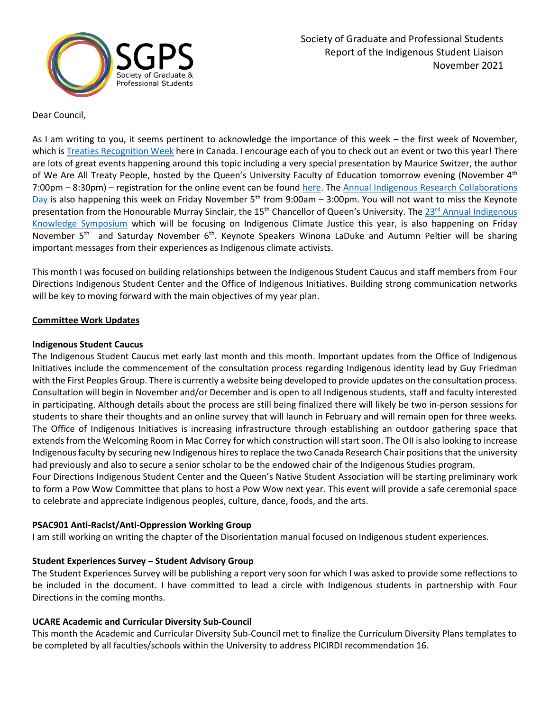

Dear Council,

As I am writing to you, it seems pertinent to acknowledge the importance of this week – the first week of November, which is [Treaties Recognition Week](https://www.ontario.ca/page/treaties-recognition-week#section-1) here in Canada. I encourage each of you to check out an event or two this year! There are lots of great events happening around this topic including a very special presentation by Maurice Switzer, the author of We Are All Treaty People, hosted by the Queen's University Faculty of Education tomorrow evening (November 4<sup>th</sup> 7:00pm – 8:30pm) – registration for the online event can be found [here.](https://www.eventbrite.ca/e/we-are-all-treaty-people-tickets-183489932327?aff=ebdssbonlinesearch) The [Annual Indigenous Research Collaborations](https://www.queensu.ca/sgs/research/indigenous-research-collabroation-day)  [Day](https://www.queensu.ca/sgs/research/indigenous-research-collabroation-day) is also happening this week on Friday November  $5<sup>th</sup>$  from 9:00am – 3:00pm. You will not want to miss the Keynote presentation from the Honourable Murray Sinclair, the 15<sup>th</sup> Chancellor of Queen's University. The 23<sup>rd</sup> Annual Indigenous [Knowledge Symposium](https://www.queensu.ca/indigenous/indigenous-knowledge-symposium) which will be focusing on Indigenous Climate Justice this year, is also happening on Friday November 5<sup>th</sup> and Saturday November 6<sup>th</sup>. Keynote Speakers Winona LaDuke and Autumn Peltier will be sharing important messages from their experiences as Indigenous climate activists.

This month I was focused on building relationships between the Indigenous Student Caucus and staff members from Four Directions Indigenous Student Center and the Office of Indigenous Initiatives. Building strong communication networks will be key to moving forward with the main objectives of my year plan.

### **Committee Work Updates**

### **Indigenous Student Caucus**

The Indigenous Student Caucus met early last month and this month. Important updates from the Office of Indigenous Initiatives include the commencement of the consultation process regarding Indigenous identity lead by Guy Friedman with the First Peoples Group. There is currently a website being developed to provide updates on the consultation process. Consultation will begin in November and/or December and is open to all Indigenous students, staff and faculty interested in participating. Although details about the process are still being finalized there will likely be two in-person sessions for students to share their thoughts and an online survey that will launch in February and will remain open for three weeks. The Office of Indigenous Initiatives is increasing infrastructure through establishing an outdoor gathering space that extends from the Welcoming Room in Mac Correy for which construction will start soon. The OII is also looking to increase Indigenous faculty by securing new Indigenous hires to replace the two Canada Research Chair positions that the university had previously and also to secure a senior scholar to be the endowed chair of the Indigenous Studies program.

Four Directions Indigenous Student Center and the Queen's Native Student Association will be starting preliminary work to form a Pow Wow Committee that plans to host a Pow Wow next year. This event will provide a safe ceremonial space to celebrate and appreciate Indigenous peoples, culture, dance, foods, and the arts.

### **PSAC901 Anti-Racist/Anti-Oppression Working Group**

I am still working on writing the chapter of the Disorientation manual focused on Indigenous student experiences.

# **Student Experiences Survey – Student Advisory Group**

The Student Experiences Survey will be publishing a report very soon for which I was asked to provide some reflections to be included in the document. I have committed to lead a circle with Indigenous students in partnership with Four Directions in the coming months.

### **UCARE Academic and Curricular Diversity Sub-Council**

This month the Academic and Curricular Diversity Sub-Council met to finalize the Curriculum Diversity Plans templates to be completed by all faculties/schools within the University to address PICIRDI recommendation 16.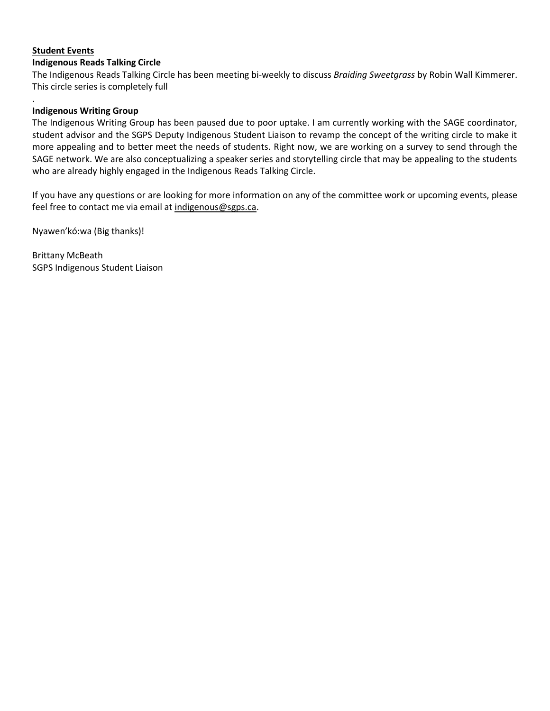# **Student Events**

.

### **Indigenous Reads Talking Circle**

The Indigenous Reads Talking Circle has been meeting bi-weekly to discuss *Braiding Sweetgrass* by Robin Wall Kimmerer. This circle series is completely full

#### **Indigenous Writing Group**

The Indigenous Writing Group has been paused due to poor uptake. I am currently working with the SAGE coordinator, student advisor and the SGPS Deputy Indigenous Student Liaison to revamp the concept of the writing circle to make it more appealing and to better meet the needs of students. Right now, we are working on a survey to send through the SAGE network. We are also conceptualizing a speaker series and storytelling circle that may be appealing to the students who are already highly engaged in the Indigenous Reads Talking Circle.

If you have any questions or are looking for more information on any of the committee work or upcoming events, please feel free to contact me via email at [indigenous@sgps.ca.](mailto:indigenous@sgps.ca)

Nyawen'kó:wa (Big thanks)!

Brittany McBeath SGPS Indigenous Student Liaison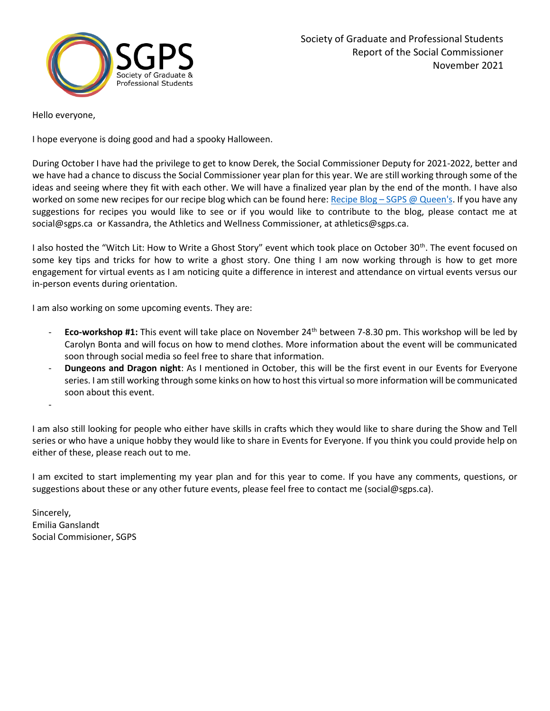

Hello everyone,

I hope everyone is doing good and had a spooky Halloween.

During October I have had the privilege to get to know Derek, the Social Commissioner Deputy for 2021-2022, better and we have had a chance to discuss the Social Commissioner year plan for this year. We are still working through some of the ideas and seeing where they fit with each other. We will have a finalized year plan by the end of the month. I have also worked on some new recipes for our recipe blog which can be found here: Recipe Blog - [SGPS @ Queen's.](https://sgps.ca/recipe-blog/) If you have any suggestions for recipes you would like to see or if you would like to contribute to the blog, please contact me at social@sgps.ca or Kassandra, the Athletics and Wellness Commissioner, at athletics@sgps.ca.

I also hosted the "Witch Lit: How to Write a Ghost Story" event which took place on October 30<sup>th</sup>. The event focused on some key tips and tricks for how to write a ghost story. One thing I am now working through is how to get more engagement for virtual events as I am noticing quite a difference in interest and attendance on virtual events versus our in-person events during orientation.

I am also working on some upcoming events. They are:

- **Eco-workshop #1:** This event will take place on November 24th between 7-8.30 pm. This workshop will be led by Carolyn Bonta and will focus on how to mend clothes. More information about the event will be communicated soon through social media so feel free to share that information.
- **Dungeons and Dragon night**: As I mentioned in October, this will be the first event in our Events for Everyone series. I am still working through some kinks on how to host this virtual so more information will be communicated soon about this event.

I am also still looking for people who either have skills in crafts which they would like to share during the Show and Tell series or who have a unique hobby they would like to share in Events for Everyone. If you think you could provide help on either of these, please reach out to me.

I am excited to start implementing my year plan and for this year to come. If you have any comments, questions, or suggestions about these or any other future events, please feel free to contact me (social@sgps.ca).

Sincerely, Emilia Ganslandt Social Commisioner, SGPS

-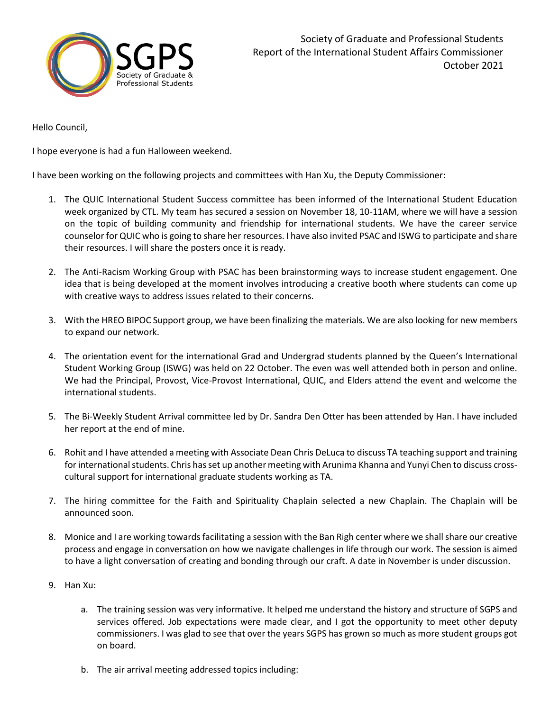

Hello Council,

I hope everyone is had a fun Halloween weekend.

I have been working on the following projects and committees with Han Xu, the Deputy Commissioner:

- 1. The QUIC International Student Success committee has been informed of the International Student Education week organized by CTL. My team has secured a session on November 18, 10-11AM, where we will have a session on the topic of building community and friendship for international students. We have the career service counselor for QUIC who is going to share her resources. I have also invited PSAC and ISWG to participate and share their resources. I will share the posters once it is ready.
- 2. The Anti-Racism Working Group with PSAC has been brainstorming ways to increase student engagement. One idea that is being developed at the moment involves introducing a creative booth where students can come up with creative ways to address issues related to their concerns.
- 3. With the HREO BIPOC Support group, we have been finalizing the materials. We are also looking for new members to expand our network.
- 4. The orientation event for the international Grad and Undergrad students planned by the Queen's International Student Working Group (ISWG) was held on 22 October. The even was well attended both in person and online. We had the Principal, Provost, Vice-Provost International, QUIC, and Elders attend the event and welcome the international students.
- 5. The Bi-Weekly Student Arrival committee led by Dr. Sandra Den Otter has been attended by Han. I have included her report at the end of mine.
- 6. Rohit and I have attended a meeting with Associate Dean Chris DeLuca to discuss TA teaching support and training for international students. Chris has set up another meeting with Arunima Khanna and Yunyi Chen to discuss crosscultural support for international graduate students working as TA.
- 7. The hiring committee for the Faith and Spirituality Chaplain selected a new Chaplain. The Chaplain will be announced soon.
- 8. Monice and I are working towards facilitating a session with the Ban Righ center where we shall share our creative process and engage in conversation on how we navigate challenges in life through our work. The session is aimed to have a light conversation of creating and bonding through our craft. A date in November is under discussion.
- 9. Han Xu:
	- a. The training session was very informative. It helped me understand the history and structure of SGPS and services offered. Job expectations were made clear, and I got the opportunity to meet other deputy commissioners. I was glad to see that over the years SGPS has grown so much as more student groups got on board.
	- b. The air arrival meeting addressed topics including: